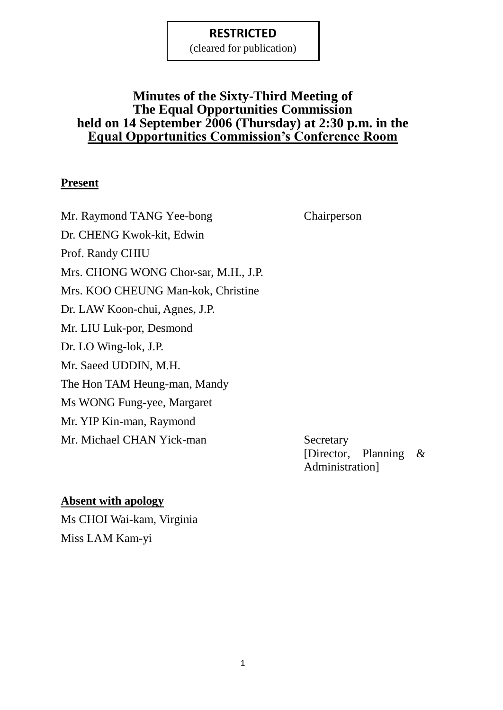(cleared for publication)

# **Minutes of the Sixty-Third Meeting of The Equal Opportunities Commission held on 14 September 2006 (Thursday) at 2:30 p.m. in the Equal Opportunities Commission's Conference Room**

#### **Present**

Mr. Raymond TANG Yee-bong Chairperson Dr. CHENG Kwok-kit, Edwin Prof. Randy CHIU Mrs. CHONG WONG Chor-sar, M.H., J.P. Mrs. KOO CHEUNG Man-kok, Christine Dr. LAW Koon-chui, Agnes, J.P. Mr. LIU Luk-por, Desmond Dr. LO Wing-lok, J.P. Mr. Saeed UDDIN, M.H. The Hon TAM Heung-man, Mandy Ms WONG Fung-yee, Margaret Mr. YIP Kin-man, Raymond Mr. Michael CHAN Yick-man Secretary

[Director, Planning & Administration]

## **Absent with apology**

Ms CHOI Wai-kam, Virginia Miss LAM Kam-yi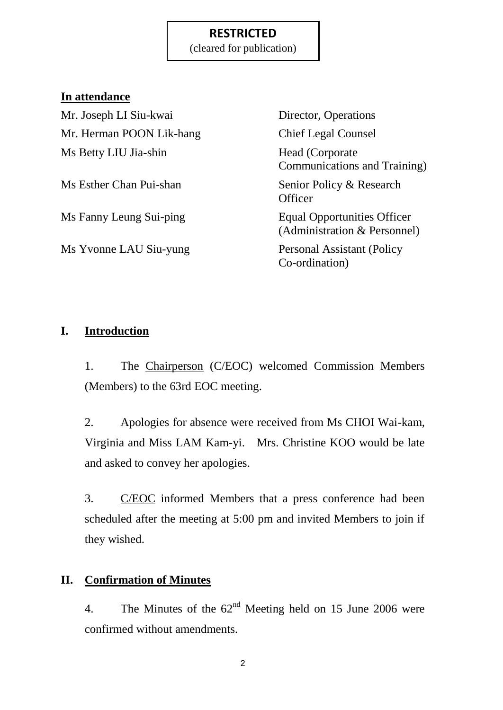(cleared for publication)

### **In attendance**

Mr. Joseph LI Siu-kwai Director, Operations Mr. Herman POON Lik-hang Chief Legal Counsel Ms Betty LIU Jia-shin Head (Corporate

Ms Yvonne LAU Siu-yung Personal Assistant (Policy

Communications and Training) Ms Esther Chan Pui-shan Senior Policy & Research **Officer** Ms Fanny Leung Sui-ping Equal Opportunities Officer (Administration & Personnel) Co-ordination)

## **I. Introduction**

1. The Chairperson (C/EOC) welcomed Commission Members (Members) to the 63rd EOC meeting.

2. Apologies for absence were received from Ms CHOI Wai-kam, Virginia and Miss LAM Kam-yi. Mrs. Christine KOO would be late and asked to convey her apologies.

3. C/EOC informed Members that a press conference had been scheduled after the meeting at 5:00 pm and invited Members to join if they wished.

### **II. Confirmation of Minutes**

4. The Minutes of the  $62<sup>nd</sup>$  Meeting held on 15 June 2006 were confirmed without amendments.

2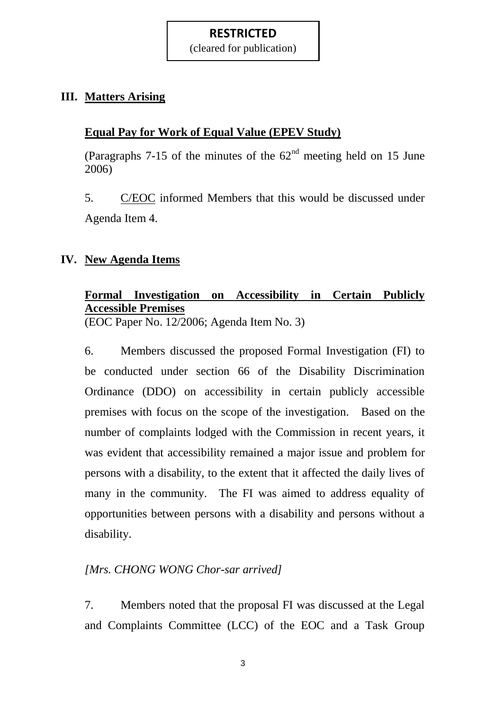(cleared for publication)

## **III. Matters Arising**

# **Equal Pay for Work of Equal Value (EPEV Study)**

(Paragraphs  $7-15$  of the minutes of the  $62<sup>nd</sup>$  meeting held on 15 June 2006)

5. C/EOC informed Members that this would be discussed under Agenda Item 4.

## **IV. New Agenda Items**

# **Formal Investigation on Accessibility in Certain Publicly Accessible Premises**

(EOC Paper No. 12/2006; Agenda Item No. 3)

6. Members discussed the proposed Formal Investigation (FI) to be conducted under section 66 of the Disability Discrimination Ordinance (DDO) on accessibility in certain publicly accessible premises with focus on the scope of the investigation. Based on the number of complaints lodged with the Commission in recent years, it was evident that accessibility remained a major issue and problem for persons with a disability, to the extent that it affected the daily lives of many in the community. The FI was aimed to address equality of opportunities between persons with a disability and persons without a disability.

## *[Mrs. CHONG WONG Chor-sar arrived]*

7. Members noted that the proposal FI was discussed at the Legal and Complaints Committee (LCC) of the EOC and a Task Group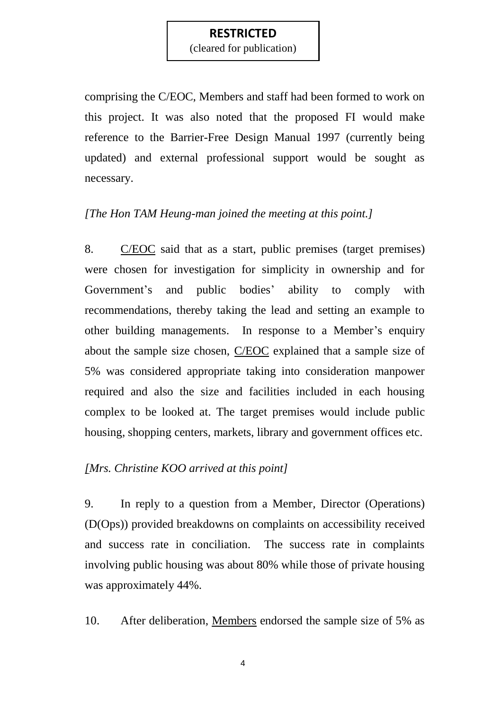(cleared for publication)

comprising the C/EOC, Members and staff had been formed to work on this project. It was also noted that the proposed FI would make reference to the Barrier-Free Design Manual 1997 (currently being updated) and external professional support would be sought as necessary.

#### *[The Hon TAM Heung-man joined the meeting at this point.]*

8. C/EOC said that as a start, public premises (target premises) were chosen for investigation for simplicity in ownership and for Government's and public bodies' ability to comply with recommendations, thereby taking the lead and setting an example to other building managements. In response to a Member"s enquiry about the sample size chosen, C/EOC explained that a sample size of 5% was considered appropriate taking into consideration manpower required and also the size and facilities included in each housing complex to be looked at. The target premises would include public housing, shopping centers, markets, library and government offices etc.

#### *[Mrs. Christine KOO arrived at this point]*

9. In reply to a question from a Member*,* Director (Operations) (D(Ops)) provided breakdowns on complaints on accessibility received and success rate in conciliation. The success rate in complaints involving public housing was about 80% while those of private housing was approximately 44%.

10. After deliberation, Members endorsed the sample size of 5% as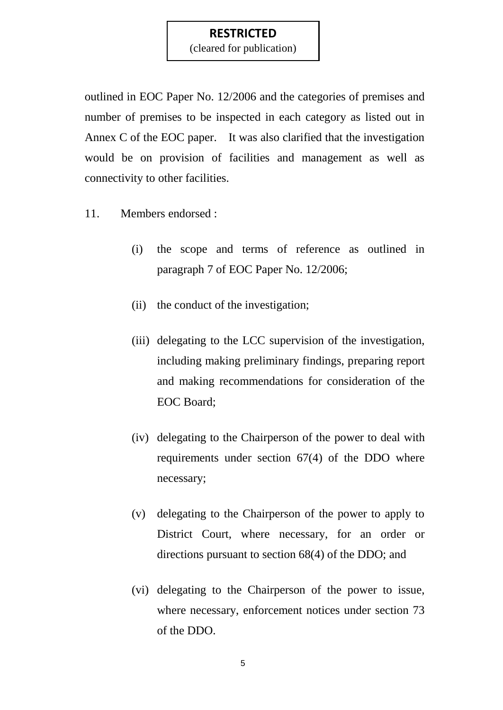(cleared for publication)

outlined in EOC Paper No. 12/2006 and the categories of premises and number of premises to be inspected in each category as listed out in Annex C of the EOC paper. It was also clarified that the investigation would be on provision of facilities and management as well as connectivity to other facilities.

- 11. Members endorsed :
	- (i) the scope and terms of reference as outlined in paragraph 7 of EOC Paper No. 12/2006;
	- (ii) the conduct of the investigation;
	- (iii) delegating to the LCC supervision of the investigation, including making preliminary findings, preparing report and making recommendations for consideration of the EOC Board;
	- (iv) delegating to the Chairperson of the power to deal with requirements under section 67(4) of the DDO where necessary;
	- (v) delegating to the Chairperson of the power to apply to District Court, where necessary, for an order or directions pursuant to section 68(4) of the DDO; and
	- (vi) delegating to the Chairperson of the power to issue, where necessary, enforcement notices under section 73 of the DDO.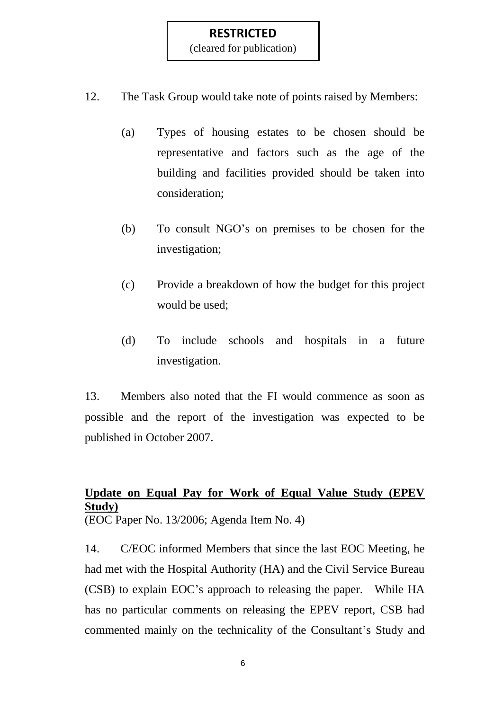(cleared for publication)

- 12. The Task Group would take note of points raised by Members:
	- (a) Types of housing estates to be chosen should be representative and factors such as the age of the building and facilities provided should be taken into consideration;
	- (b) To consult NGO"s on premises to be chosen for the investigation;
	- (c) Provide a breakdown of how the budget for this project would be used;
	- (d) To include schools and hospitals in a future investigation.

13. Members also noted that the FI would commence as soon as possible and the report of the investigation was expected to be published in October 2007.

# **Update on Equal Pay for Work of Equal Value Study (EPEV Study)**

(EOC Paper No. 13/2006; Agenda Item No. 4)

14. C/EOC informed Members that since the last EOC Meeting, he had met with the Hospital Authority (HA) and the Civil Service Bureau (CSB) to explain EOC"s approach to releasing the paper. While HA has no particular comments on releasing the EPEV report, CSB had commented mainly on the technicality of the Consultant's Study and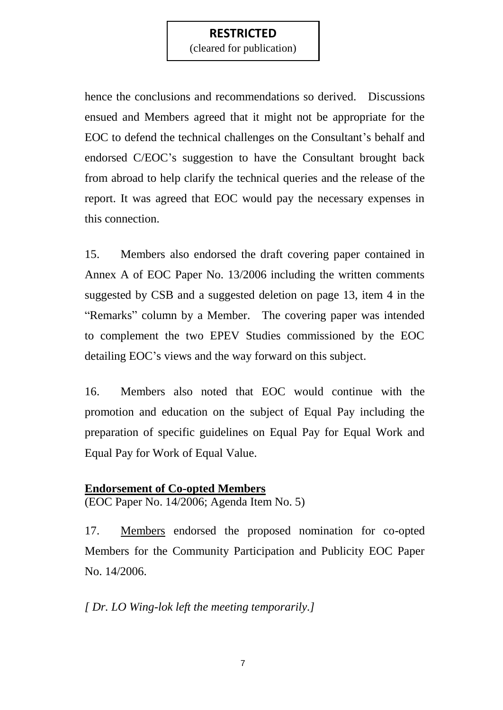(cleared for publication)

hence the conclusions and recommendations so derived. Discussions ensued and Members agreed that it might not be appropriate for the EOC to defend the technical challenges on the Consultant's behalf and endorsed C/EOC"s suggestion to have the Consultant brought back from abroad to help clarify the technical queries and the release of the report. It was agreed that EOC would pay the necessary expenses in this connection.

15. Members also endorsed the draft covering paper contained in Annex A of EOC Paper No. 13/2006 including the written comments suggested by CSB and a suggested deletion on page 13, item 4 in the "Remarks" column by a Member. The covering paper was intended to complement the two EPEV Studies commissioned by the EOC detailing EOC"s views and the way forward on this subject.

16. Members also noted that EOC would continue with the promotion and education on the subject of Equal Pay including the preparation of specific guidelines on Equal Pay for Equal Work and Equal Pay for Work of Equal Value.

#### **Endorsement of Co-opted Members**

(EOC Paper No. 14/2006; Agenda Item No. 5)

17. Members endorsed the proposed nomination for co-opted Members for the Community Participation and Publicity EOC Paper No. 14/2006.

*[ Dr. LO Wing-lok left the meeting temporarily.]*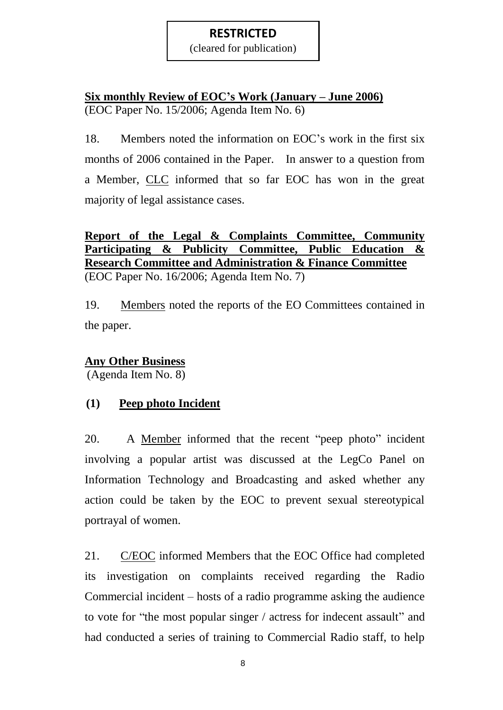(cleared for publication)

# **Six monthly Review of EOC's Work (January – June 2006)** (EOC Paper No. 15/2006; Agenda Item No. 6)

18. Members noted the information on EOC"s work in the first six months of 2006 contained in the Paper. In answer to a question from a Member, CLC informed that so far EOC has won in the great majority of legal assistance cases.

## **Report of the Legal & Complaints Committee, Community Participating & Publicity Committee, Public Education & Research Committee and Administration & Finance Committee** (EOC Paper No. 16/2006; Agenda Item No. 7)

19. Members noted the reports of the EO Committees contained in the paper.

## **Any Other Business**

(Agenda Item No. 8)

# **(1) Peep photo Incident**

20. A Member informed that the recent "peep photo" incident involving a popular artist was discussed at the LegCo Panel on Information Technology and Broadcasting and asked whether any action could be taken by the EOC to prevent sexual stereotypical portrayal of women.

21. C/EOC informed Members that the EOC Office had completed its investigation on complaints received regarding the Radio Commercial incident – hosts of a radio programme asking the audience to vote for "the most popular singer / actress for indecent assault" and had conducted a series of training to Commercial Radio staff, to help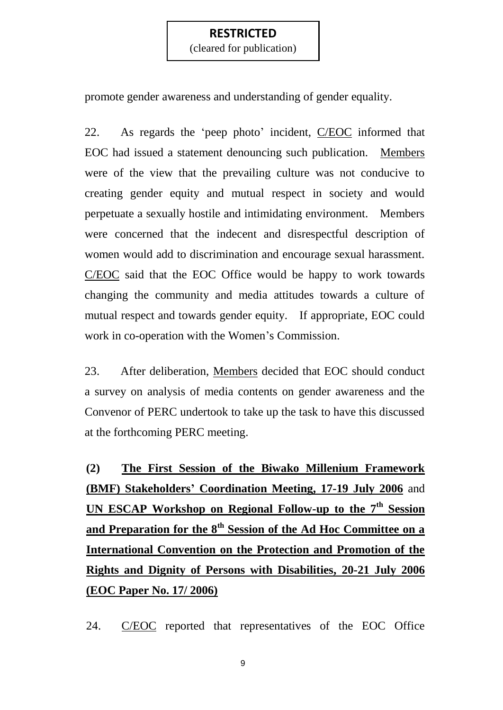(cleared for publication)

promote gender awareness and understanding of gender equality.

22. As regards the 'peep photo' incident, C/EOC informed that EOC had issued a statement denouncing such publication. Members were of the view that the prevailing culture was not conducive to creating gender equity and mutual respect in society and would perpetuate a sexually hostile and intimidating environment. Members were concerned that the indecent and disrespectful description of women would add to discrimination and encourage sexual harassment. C/EOC said that the EOC Office would be happy to work towards changing the community and media attitudes towards a culture of mutual respect and towards gender equity. If appropriate, EOC could work in co-operation with the Women"s Commission.

23. After deliberation, Members decided that EOC should conduct a survey on analysis of media contents on gender awareness and the Convenor of PERC undertook to take up the task to have this discussed at the forthcoming PERC meeting.

**(2) The First Session of the Biwako Millenium Framework (BMF) Stakeholders' Coordination Meeting, 17-19 July 2006** and **UN ESCAP Workshop on Regional Follow-up to the 7th Session and Preparation for the 8th Session of the Ad Hoc Committee on a International Convention on the Protection and Promotion of the Rights and Dignity of Persons with Disabilities, 20-21 July 2006 (EOC Paper No. 17/ 2006)**

24. C/EOC reported that representatives of the EOC Office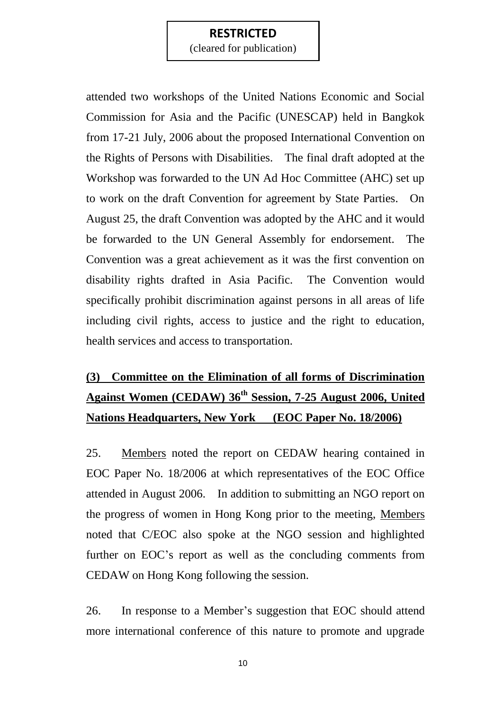(cleared for publication)

attended two workshops of the United Nations Economic and Social Commission for Asia and the Pacific (UNESCAP) held in Bangkok from 17-21 July, 2006 about the proposed International Convention on the Rights of Persons with Disabilities. The final draft adopted at the Workshop was forwarded to the UN Ad Hoc Committee (AHC) set up to work on the draft Convention for agreement by State Parties. On August 25, the draft Convention was adopted by the AHC and it would be forwarded to the UN General Assembly for endorsement. The Convention was a great achievement as it was the first convention on disability rights drafted in Asia Pacific. The Convention would specifically prohibit discrimination against persons in all areas of life including civil rights, access to justice and the right to education, health services and access to transportation.

# **(3) Committee on the Elimination of all forms of Discrimination Against Women (CEDAW) 36th Session, 7-25 August 2006, United Nations Headquarters, New York (EOC Paper No. 18/2006)**

25. Members noted the report on CEDAW hearing contained in EOC Paper No. 18/2006 at which representatives of the EOC Office attended in August 2006. In addition to submitting an NGO report on the progress of women in Hong Kong prior to the meeting, Members noted that C/EOC also spoke at the NGO session and highlighted further on EOC"s report as well as the concluding comments from CEDAW on Hong Kong following the session.

26. In response to a Member"s suggestion that EOC should attend more international conference of this nature to promote and upgrade